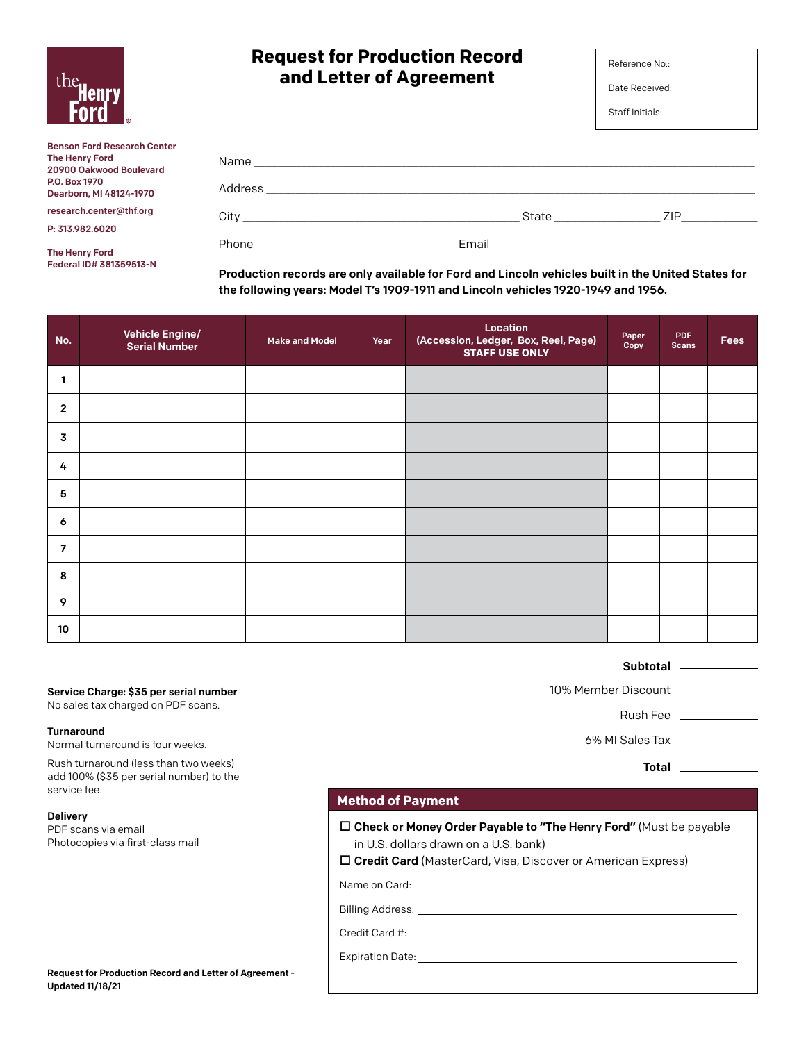| the.<br><b>Henry</b><br><b>FOR</b> |  |
|------------------------------------|--|
|------------------------------------|--|

Federal ID# 381359513-N

# **Request for Production Record and Letter of Agreement**

Date Received:

Staff Initials:

| <b>Benson Ford Research Center</b><br>The Henry Ford<br>20900 Oakwood Boulevard | Name                                                                                                                                                                                                                                                                        | <u> 1989 - Johann Stein, Amerikaansk politiker (* 1989)</u>   |       |      |
|---------------------------------------------------------------------------------|-----------------------------------------------------------------------------------------------------------------------------------------------------------------------------------------------------------------------------------------------------------------------------|---------------------------------------------------------------|-------|------|
| P.O. Box 1970<br>Dearborn, MI 48124-1970                                        | Address                                                                                                                                                                                                                                                                     | <u> 1980 - Jan Laurent, martin al-Amerikaansk komponist (</u> |       |      |
| research.center@thf.org                                                         | City <b>Community</b> City <b>Community</b> Community <b>Community</b> Community <b>Community</b> Community <b>Community</b> Community <b>Community</b> Community <b>Community</b> Community <b>Community</b> Community <b>Community</b> Community Community Community Comm |                                                               | State | ZIP. |
| P: 313.982.6020                                                                 |                                                                                                                                                                                                                                                                             |                                                               |       |      |
| The Henry Ford                                                                  | Phone <b>Contract Contract Contract Contract Contract Contract Contract Contract Contract Contract Contract Contract Contract Contract Contract Contract Contract Contract Contract Contract Contract Contract Contract Contract</b>                                        | Email                                                         |       |      |

Production records are only available for Ford and Lincoln vehicles built in the United States for the following years: Model T's 1909-1911 and Lincoln vehicles 1920-1949 and 1956.

| No.             | <b>Vehicle Engine/</b><br><b>Serial Number</b> | <b>Make and Model</b> | Year | Location<br>(Accession, Ledger, Box, Reel, Page)<br><b>STAFF USE ONLY</b> | Paper<br>Copy | <b>PDF</b><br><b>Scans</b> | <b>Fees</b> |
|-----------------|------------------------------------------------|-----------------------|------|---------------------------------------------------------------------------|---------------|----------------------------|-------------|
| $\mathbf{1}$    |                                                |                       |      |                                                                           |               |                            |             |
| $\overline{2}$  |                                                |                       |      |                                                                           |               |                            |             |
| 3               |                                                |                       |      |                                                                           |               |                            |             |
| 4               |                                                |                       |      |                                                                           |               |                            |             |
| 5               |                                                |                       |      |                                                                           |               |                            |             |
| 6               |                                                |                       |      |                                                                           |               |                            |             |
| $\overline{7}$  |                                                |                       |      |                                                                           |               |                            |             |
| 8               |                                                |                       |      |                                                                           |               |                            |             |
| 9               |                                                |                       |      |                                                                           |               |                            |             |
| 10 <sup>°</sup> |                                                |                       |      |                                                                           |               |                            |             |

### Service Charge: \$35 per serial number

No sales tax charged on PDF scans.

#### Turnaround

Normal turnaround is four weeks.

Rush turnaround (less than two weeks) add 100% (\$35 per serial number) to the service fee.

Delivery

PDF scans via email Photocopies via first-class mail

#### **Method of Payment**

| $\Box$ Check or Money Order Payable to "The Henry Ford" (Must be payable |  |
|--------------------------------------------------------------------------|--|
| in U.S. dollars drawn on a U.S. bank)                                    |  |

□ Credit Card (MasterCard, Visa, Discover or American Express)

Name on Card:

Billing Address:

Credit Card #:

Expiration Date:

Request for Production Record and Letter of Agreement - Updated 11/18/21

### Subtotal \_\_\_\_\_\_\_\_\_\_\_

10% Member Discount

Rush Fee

6% MI Sales Tax

Total